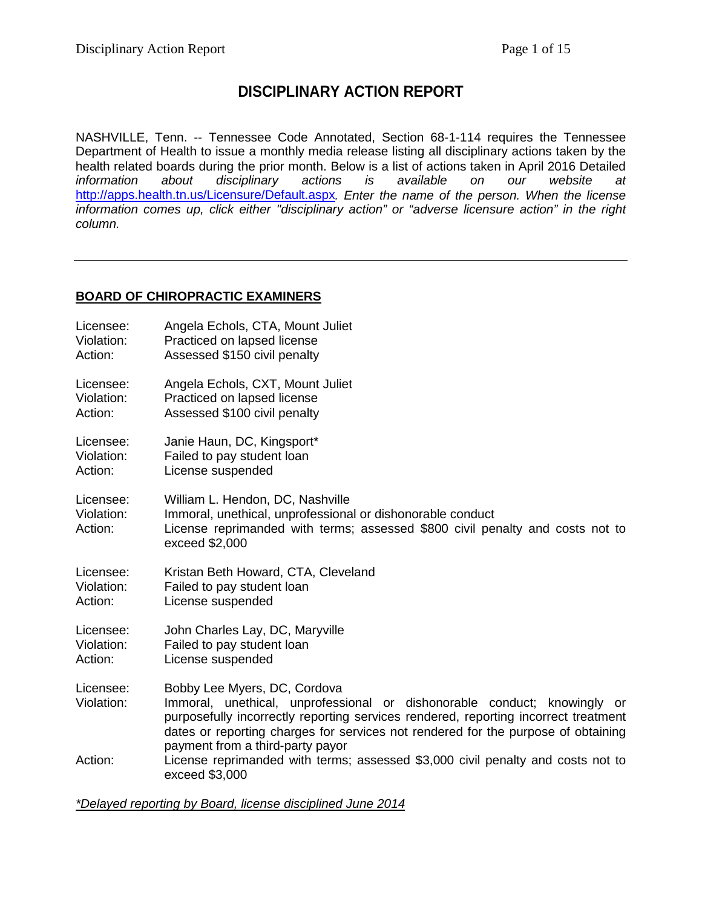# **DISCIPLINARY ACTION REPORT**

NASHVILLE, Tenn. -- Tennessee Code Annotated, Section 68-1-114 requires the Tennessee Department of Health to issue a monthly media release listing all disciplinary actions taken by the health related boards during the prior month. Below is a list of actions taken in April 2016 Detailed<br>
information about disciplinary actions is available on our website at disciplinary actions is available on our website at <http://apps.health.tn.us/Licensure/Default.aspx>*. Enter the name of the person. When the license information comes up, click either "disciplinary action" or "adverse licensure action" in the right column.*

# **BOARD OF CHIROPRACTIC EXAMINERS**

| Licensee:                          | Angela Echols, CTA, Mount Juliet                                                                                                                                                                                                                                                                                         |
|------------------------------------|--------------------------------------------------------------------------------------------------------------------------------------------------------------------------------------------------------------------------------------------------------------------------------------------------------------------------|
| Violation:                         | Practiced on lapsed license                                                                                                                                                                                                                                                                                              |
| Action:                            | Assessed \$150 civil penalty                                                                                                                                                                                                                                                                                             |
| Licensee:                          | Angela Echols, CXT, Mount Juliet                                                                                                                                                                                                                                                                                         |
| Violation:                         | Practiced on lapsed license                                                                                                                                                                                                                                                                                              |
| Action:                            | Assessed \$100 civil penalty                                                                                                                                                                                                                                                                                             |
| Licensee:                          | Janie Haun, DC, Kingsport*                                                                                                                                                                                                                                                                                               |
| Violation:                         | Failed to pay student loan                                                                                                                                                                                                                                                                                               |
| Action:                            | License suspended                                                                                                                                                                                                                                                                                                        |
| Licensee:<br>Violation:<br>Action: | William L. Hendon, DC, Nashville<br>Immoral, unethical, unprofessional or dishonorable conduct<br>License reprimanded with terms; assessed \$800 civil penalty and costs not to<br>exceed \$2,000                                                                                                                        |
| Licensee:                          | Kristan Beth Howard, CTA, Cleveland                                                                                                                                                                                                                                                                                      |
| Violation:                         | Failed to pay student loan                                                                                                                                                                                                                                                                                               |
| Action:                            | License suspended                                                                                                                                                                                                                                                                                                        |
| Licensee:                          | John Charles Lay, DC, Maryville                                                                                                                                                                                                                                                                                          |
| Violation:                         | Failed to pay student loan                                                                                                                                                                                                                                                                                               |
| Action:                            | License suspended                                                                                                                                                                                                                                                                                                        |
| Licensee:<br>Violation:            | Bobby Lee Myers, DC, Cordova<br>Immoral, unethical, unprofessional or dishonorable conduct; knowingly or<br>purposefully incorrectly reporting services rendered, reporting incorrect treatment<br>dates or reporting charges for services not rendered for the purpose of obtaining<br>payment from a third-party payor |
| Action:                            | License reprimanded with terms; assessed \$3,000 civil penalty and costs not to<br>exceed \$3,000                                                                                                                                                                                                                        |

*\*Delayed reporting by Board, license disciplined June 2014*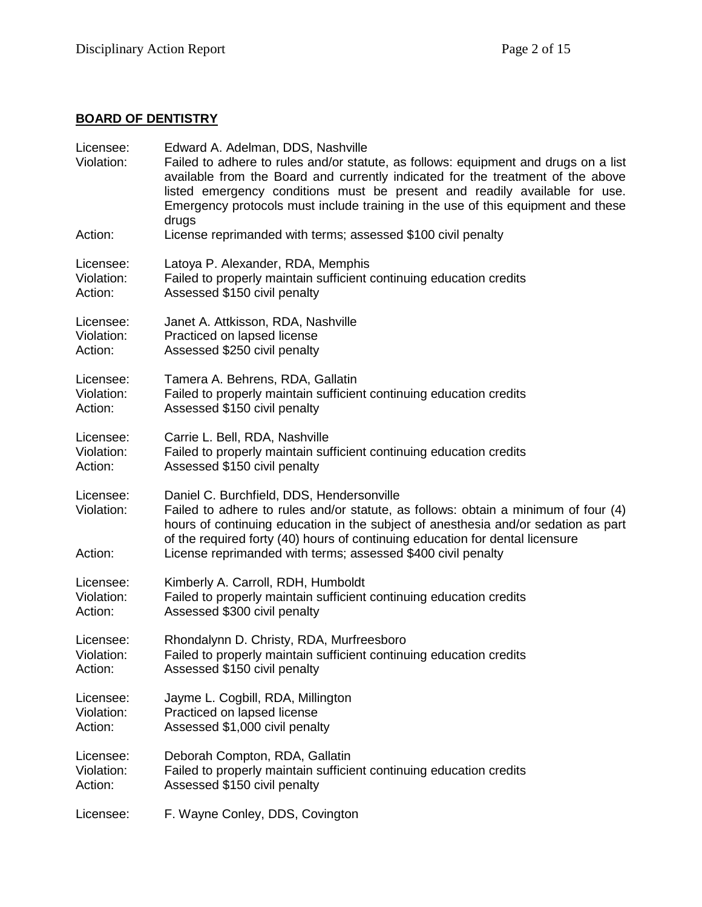# **BOARD OF DENTISTRY**

| Licensee:<br>Violation:            | Edward A. Adelman, DDS, Nashville<br>Failed to adhere to rules and/or statute, as follows: equipment and drugs on a list<br>available from the Board and currently indicated for the treatment of the above<br>listed emergency conditions must be present and readily available for use.<br>Emergency protocols must include training in the use of this equipment and these<br>drugs |
|------------------------------------|----------------------------------------------------------------------------------------------------------------------------------------------------------------------------------------------------------------------------------------------------------------------------------------------------------------------------------------------------------------------------------------|
| Action:                            | License reprimanded with terms; assessed \$100 civil penalty                                                                                                                                                                                                                                                                                                                           |
| Licensee:                          | Latoya P. Alexander, RDA, Memphis                                                                                                                                                                                                                                                                                                                                                      |
| Violation:                         | Failed to properly maintain sufficient continuing education credits                                                                                                                                                                                                                                                                                                                    |
| Action:                            | Assessed \$150 civil penalty                                                                                                                                                                                                                                                                                                                                                           |
| Licensee:                          | Janet A. Attkisson, RDA, Nashville                                                                                                                                                                                                                                                                                                                                                     |
| Violation:                         | Practiced on lapsed license                                                                                                                                                                                                                                                                                                                                                            |
| Action:                            | Assessed \$250 civil penalty                                                                                                                                                                                                                                                                                                                                                           |
| Licensee:                          | Tamera A. Behrens, RDA, Gallatin                                                                                                                                                                                                                                                                                                                                                       |
| Violation:                         | Failed to properly maintain sufficient continuing education credits                                                                                                                                                                                                                                                                                                                    |
| Action:                            | Assessed \$150 civil penalty                                                                                                                                                                                                                                                                                                                                                           |
| Licensee:                          | Carrie L. Bell, RDA, Nashville                                                                                                                                                                                                                                                                                                                                                         |
| Violation:                         | Failed to properly maintain sufficient continuing education credits                                                                                                                                                                                                                                                                                                                    |
| Action:                            | Assessed \$150 civil penalty                                                                                                                                                                                                                                                                                                                                                           |
| Licensee:<br>Violation:<br>Action: | Daniel C. Burchfield, DDS, Hendersonville<br>Failed to adhere to rules and/or statute, as follows: obtain a minimum of four (4)<br>hours of continuing education in the subject of anesthesia and/or sedation as part<br>of the required forty (40) hours of continuing education for dental licensure<br>License reprimanded with terms; assessed \$400 civil penalty                 |
| Licensee:                          | Kimberly A. Carroll, RDH, Humboldt                                                                                                                                                                                                                                                                                                                                                     |
| Violation:                         | Failed to properly maintain sufficient continuing education credits                                                                                                                                                                                                                                                                                                                    |
| Action:                            | Assessed \$300 civil penalty                                                                                                                                                                                                                                                                                                                                                           |
| Licensee:                          | Rhondalynn D. Christy, RDA, Murfreesboro                                                                                                                                                                                                                                                                                                                                               |
| Violation:                         | Failed to properly maintain sufficient continuing education credits                                                                                                                                                                                                                                                                                                                    |
| Action:                            | Assessed \$150 civil penalty                                                                                                                                                                                                                                                                                                                                                           |
| Licensee:                          | Jayme L. Cogbill, RDA, Millington                                                                                                                                                                                                                                                                                                                                                      |
| Violation:                         | Practiced on lapsed license                                                                                                                                                                                                                                                                                                                                                            |
| Action:                            | Assessed \$1,000 civil penalty                                                                                                                                                                                                                                                                                                                                                         |
| Licensee:                          | Deborah Compton, RDA, Gallatin                                                                                                                                                                                                                                                                                                                                                         |
| Violation:                         | Failed to properly maintain sufficient continuing education credits                                                                                                                                                                                                                                                                                                                    |
| Action:                            | Assessed \$150 civil penalty                                                                                                                                                                                                                                                                                                                                                           |
| Licensee:                          | F. Wayne Conley, DDS, Covington                                                                                                                                                                                                                                                                                                                                                        |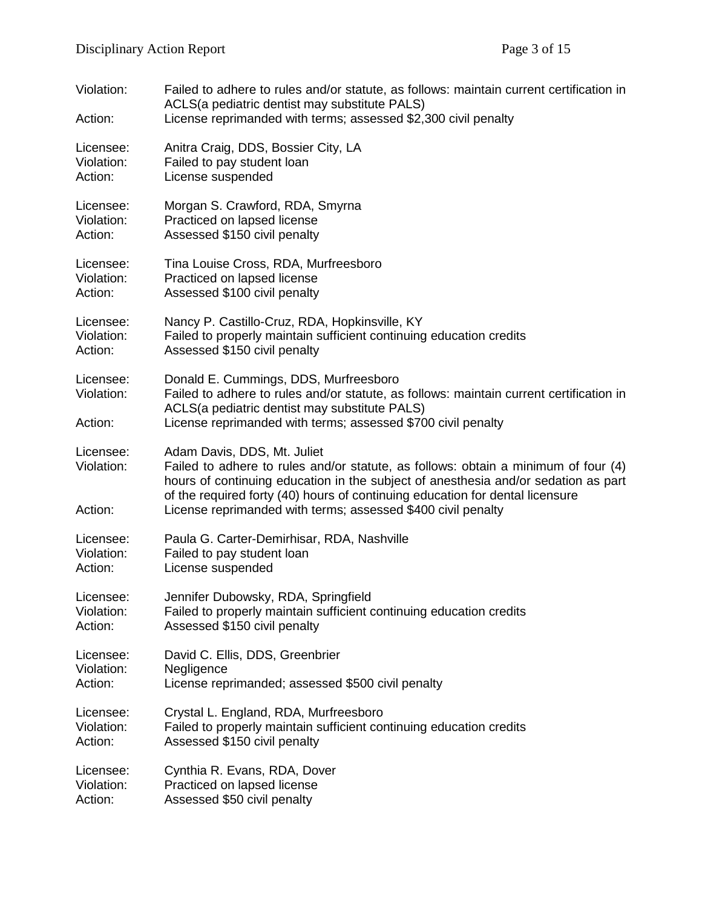| Violation:<br>Action:              | Failed to adhere to rules and/or statute, as follows: maintain current certification in<br>ACLS(a pediatric dentist may substitute PALS)<br>License reprimanded with terms; assessed \$2,300 civil penalty                                                                                                                                               |
|------------------------------------|----------------------------------------------------------------------------------------------------------------------------------------------------------------------------------------------------------------------------------------------------------------------------------------------------------------------------------------------------------|
| Licensee:                          | Anitra Craig, DDS, Bossier City, LA                                                                                                                                                                                                                                                                                                                      |
| Violation:                         | Failed to pay student loan                                                                                                                                                                                                                                                                                                                               |
| Action:                            | License suspended                                                                                                                                                                                                                                                                                                                                        |
| Licensee:                          | Morgan S. Crawford, RDA, Smyrna                                                                                                                                                                                                                                                                                                                          |
| Violation:                         | Practiced on lapsed license                                                                                                                                                                                                                                                                                                                              |
| Action:                            | Assessed \$150 civil penalty                                                                                                                                                                                                                                                                                                                             |
| Licensee:                          | Tina Louise Cross, RDA, Murfreesboro                                                                                                                                                                                                                                                                                                                     |
| Violation:                         | Practiced on lapsed license                                                                                                                                                                                                                                                                                                                              |
| Action:                            | Assessed \$100 civil penalty                                                                                                                                                                                                                                                                                                                             |
| Licensee:                          | Nancy P. Castillo-Cruz, RDA, Hopkinsville, KY                                                                                                                                                                                                                                                                                                            |
| Violation:                         | Failed to properly maintain sufficient continuing education credits                                                                                                                                                                                                                                                                                      |
| Action:                            | Assessed \$150 civil penalty                                                                                                                                                                                                                                                                                                                             |
| Licensee:<br>Violation:            | Donald E. Cummings, DDS, Murfreesboro<br>Failed to adhere to rules and/or statute, as follows: maintain current certification in<br>ACLS(a pediatric dentist may substitute PALS)                                                                                                                                                                        |
| Action:                            | License reprimanded with terms; assessed \$700 civil penalty                                                                                                                                                                                                                                                                                             |
| Licensee:<br>Violation:<br>Action: | Adam Davis, DDS, Mt. Juliet<br>Failed to adhere to rules and/or statute, as follows: obtain a minimum of four (4)<br>hours of continuing education in the subject of anesthesia and/or sedation as part<br>of the required forty (40) hours of continuing education for dental licensure<br>License reprimanded with terms; assessed \$400 civil penalty |
| Licensee:                          | Paula G. Carter-Demirhisar, RDA, Nashville                                                                                                                                                                                                                                                                                                               |
| Violation:                         | Failed to pay student loan                                                                                                                                                                                                                                                                                                                               |
| Action:                            | License suspended                                                                                                                                                                                                                                                                                                                                        |
| Licensee:                          | Jennifer Dubowsky, RDA, Springfield                                                                                                                                                                                                                                                                                                                      |
| Violation:                         | Failed to properly maintain sufficient continuing education credits                                                                                                                                                                                                                                                                                      |
| Action:                            | Assessed \$150 civil penalty                                                                                                                                                                                                                                                                                                                             |
| Licensee:                          | David C. Ellis, DDS, Greenbrier                                                                                                                                                                                                                                                                                                                          |
| Violation:                         | Negligence                                                                                                                                                                                                                                                                                                                                               |
| Action:                            | License reprimanded; assessed \$500 civil penalty                                                                                                                                                                                                                                                                                                        |
| Licensee:                          | Crystal L. England, RDA, Murfreesboro                                                                                                                                                                                                                                                                                                                    |
| Violation:                         | Failed to properly maintain sufficient continuing education credits                                                                                                                                                                                                                                                                                      |
| Action:                            | Assessed \$150 civil penalty                                                                                                                                                                                                                                                                                                                             |
| Licensee:                          | Cynthia R. Evans, RDA, Dover                                                                                                                                                                                                                                                                                                                             |
| Violation:                         | Practiced on lapsed license                                                                                                                                                                                                                                                                                                                              |
| Action:                            | Assessed \$50 civil penalty                                                                                                                                                                                                                                                                                                                              |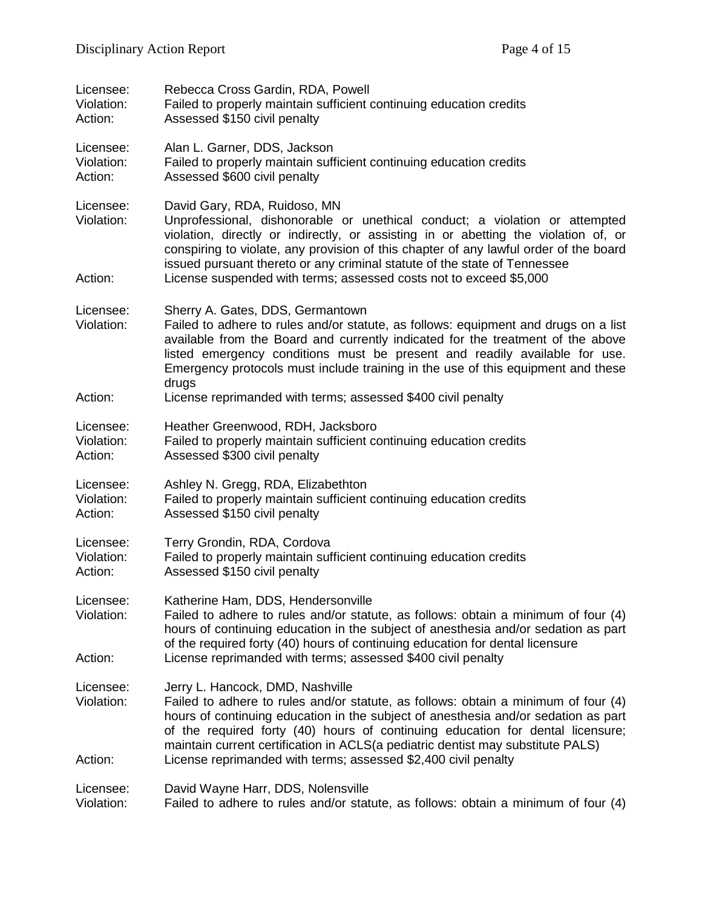| Licensee:<br>Violation:<br>Action: | Rebecca Cross Gardin, RDA, Powell<br>Failed to properly maintain sufficient continuing education credits<br>Assessed \$150 civil penalty                                                                                                                                                                                                                                                                                                            |
|------------------------------------|-----------------------------------------------------------------------------------------------------------------------------------------------------------------------------------------------------------------------------------------------------------------------------------------------------------------------------------------------------------------------------------------------------------------------------------------------------|
| Licensee:<br>Violation:<br>Action: | Alan L. Garner, DDS, Jackson<br>Failed to properly maintain sufficient continuing education credits<br>Assessed \$600 civil penalty                                                                                                                                                                                                                                                                                                                 |
| Licensee:<br>Violation:            | David Gary, RDA, Ruidoso, MN<br>Unprofessional, dishonorable or unethical conduct; a violation or attempted<br>violation, directly or indirectly, or assisting in or abetting the violation of, or<br>conspiring to violate, any provision of this chapter of any lawful order of the board<br>issued pursuant thereto or any criminal statute of the state of Tennessee                                                                            |
| Action:                            | License suspended with terms; assessed costs not to exceed \$5,000                                                                                                                                                                                                                                                                                                                                                                                  |
| Licensee:<br>Violation:            | Sherry A. Gates, DDS, Germantown<br>Failed to adhere to rules and/or statute, as follows: equipment and drugs on a list<br>available from the Board and currently indicated for the treatment of the above<br>listed emergency conditions must be present and readily available for use.<br>Emergency protocols must include training in the use of this equipment and these<br>drugs                                                               |
| Action:                            | License reprimanded with terms; assessed \$400 civil penalty                                                                                                                                                                                                                                                                                                                                                                                        |
| Licensee:<br>Violation:<br>Action: | Heather Greenwood, RDH, Jacksboro<br>Failed to properly maintain sufficient continuing education credits<br>Assessed \$300 civil penalty                                                                                                                                                                                                                                                                                                            |
| Licensee:<br>Violation:<br>Action: | Ashley N. Gregg, RDA, Elizabethton<br>Failed to properly maintain sufficient continuing education credits<br>Assessed \$150 civil penalty                                                                                                                                                                                                                                                                                                           |
| Licensee:<br>Violation:<br>Action: | Terry Grondin, RDA, Cordova<br>Failed to properly maintain sufficient continuing education credits<br>Assessed \$150 civil penalty                                                                                                                                                                                                                                                                                                                  |
| Licensee:<br>Violation:<br>Action: | Katherine Ham, DDS, Hendersonville<br>Failed to adhere to rules and/or statute, as follows: obtain a minimum of four (4)<br>hours of continuing education in the subject of anesthesia and/or sedation as part<br>of the required forty (40) hours of continuing education for dental licensure<br>License reprimanded with terms; assessed \$400 civil penalty                                                                                     |
|                                    |                                                                                                                                                                                                                                                                                                                                                                                                                                                     |
| Licensee:<br>Violation:<br>Action: | Jerry L. Hancock, DMD, Nashville<br>Failed to adhere to rules and/or statute, as follows: obtain a minimum of four (4)<br>hours of continuing education in the subject of anesthesia and/or sedation as part<br>of the required forty (40) hours of continuing education for dental licensure;<br>maintain current certification in ACLS(a pediatric dentist may substitute PALS)<br>License reprimanded with terms; assessed \$2,400 civil penalty |
| Licensee:<br>Violation:            | David Wayne Harr, DDS, Nolensville<br>Failed to adhere to rules and/or statute, as follows: obtain a minimum of four (4)                                                                                                                                                                                                                                                                                                                            |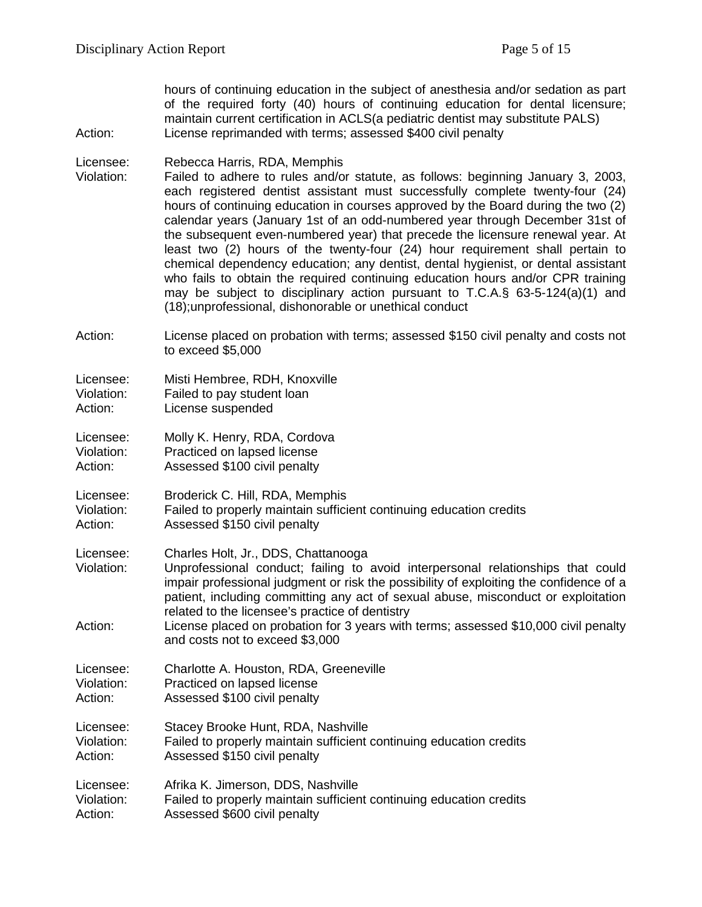hours of continuing education in the subject of anesthesia and/or sedation as part of the required forty (40) hours of continuing education for dental licensure; maintain current certification in ACLS(a pediatric dentist may substitute PALS) Action: License reprimanded with terms; assessed \$400 civil penalty

#### Licensee: Rebecca Harris, RDA, Memphis

- Violation: Failed to adhere to rules and/or statute, as follows: beginning January 3, 2003, each registered dentist assistant must successfully complete twenty-four (24) hours of continuing education in courses approved by the Board during the two (2) calendar years (January 1st of an odd-numbered year through December 31st of the subsequent even-numbered year) that precede the licensure renewal year. At least two (2) hours of the twenty-four (24) hour requirement shall pertain to chemical dependency education; any dentist, dental hygienist, or dental assistant who fails to obtain the required continuing education hours and/or CPR training may be subject to disciplinary action pursuant to T.C.A.§  $63-5-124(a)(1)$  and (18);unprofessional, dishonorable or unethical conduct
- Action: License placed on probation with terms; assessed \$150 civil penalty and costs not to exceed \$5,000

| Licensee:  | Misti Hembree, RDH, Knoxville |
|------------|-------------------------------|
| Violation: | Failed to pay student loan    |
| Action:    | License suspended             |

Licensee: Molly K. Henry, RDA, Cordova Violation: Practiced on lapsed license

- Action: Assessed \$100 civil penalty
- Licensee: Broderick C. Hill, RDA, Memphis Violation: Failed to properly maintain sufficient continuing education credits
- Action: Assessed \$150 civil penalty
- Licensee: Charles Holt, Jr., DDS, Chattanooga
- Violation: Unprofessional conduct; failing to avoid interpersonal relationships that could impair professional judgment or risk the possibility of exploiting the confidence of a patient, including committing any act of sexual abuse, misconduct or exploitation related to the licensee's practice of dentistry
- Action: License placed on probation for 3 years with terms; assessed \$10,000 civil penalty and costs not to exceed \$3,000
- Licensee: Charlotte A. Houston, RDA, Greeneville Violation: Practiced on lapsed license
- Action: Assessed \$100 civil penalty

Licensee: Stacey Brooke Hunt, RDA, Nashville Violation: Failed to properly maintain sufficient continuing education credits<br>Action: Assessed \$150 civil penalty Assessed \$150 civil penalty

Licensee: Afrika K. Jimerson, DDS, Nashville Violation: Failed to properly maintain sufficient continuing education credits Action: Assessed \$600 civil penalty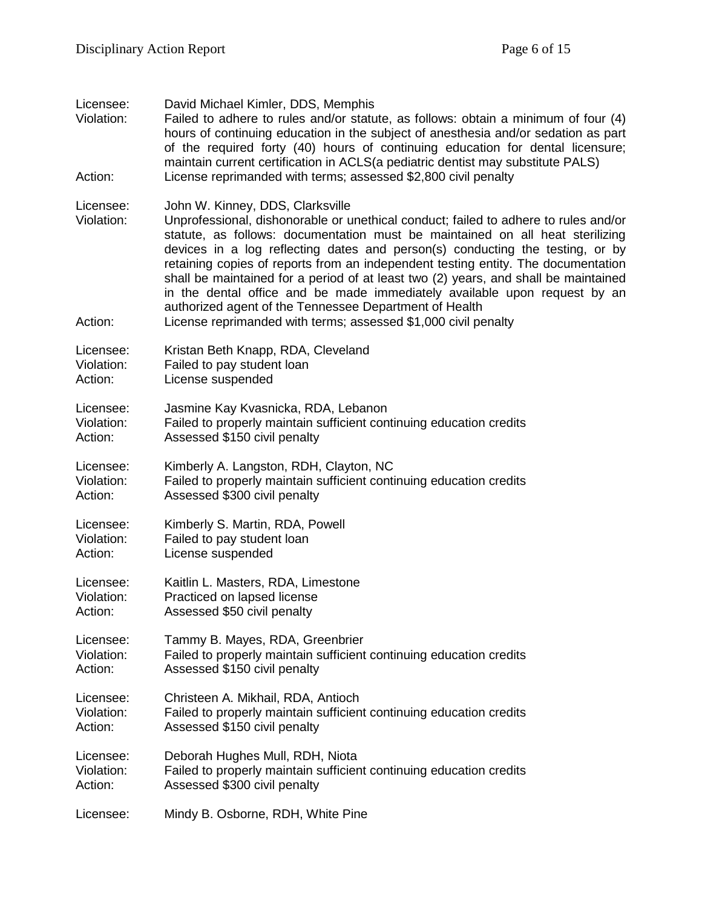| Licensee:<br>Violation:<br>Action: | David Michael Kimler, DDS, Memphis<br>Failed to adhere to rules and/or statute, as follows: obtain a minimum of four (4)<br>hours of continuing education in the subject of anesthesia and/or sedation as part<br>of the required forty (40) hours of continuing education for dental licensure;<br>maintain current certification in ACLS(a pediatric dentist may substitute PALS)<br>License reprimanded with terms; assessed \$2,800 civil penalty                                                                                                                                                                                                                          |
|------------------------------------|--------------------------------------------------------------------------------------------------------------------------------------------------------------------------------------------------------------------------------------------------------------------------------------------------------------------------------------------------------------------------------------------------------------------------------------------------------------------------------------------------------------------------------------------------------------------------------------------------------------------------------------------------------------------------------|
| Licensee:<br>Violation:<br>Action: | John W. Kinney, DDS, Clarksville<br>Unprofessional, dishonorable or unethical conduct; failed to adhere to rules and/or<br>statute, as follows: documentation must be maintained on all heat sterilizing<br>devices in a log reflecting dates and person(s) conducting the testing, or by<br>retaining copies of reports from an independent testing entity. The documentation<br>shall be maintained for a period of at least two (2) years, and shall be maintained<br>in the dental office and be made immediately available upon request by an<br>authorized agent of the Tennessee Department of Health<br>License reprimanded with terms; assessed \$1,000 civil penalty |
| Licensee:                          | Kristan Beth Knapp, RDA, Cleveland                                                                                                                                                                                                                                                                                                                                                                                                                                                                                                                                                                                                                                             |
| Violation:                         | Failed to pay student loan                                                                                                                                                                                                                                                                                                                                                                                                                                                                                                                                                                                                                                                     |
| Action:                            | License suspended                                                                                                                                                                                                                                                                                                                                                                                                                                                                                                                                                                                                                                                              |
| Licensee:                          | Jasmine Kay Kvasnicka, RDA, Lebanon                                                                                                                                                                                                                                                                                                                                                                                                                                                                                                                                                                                                                                            |
| Violation:                         | Failed to properly maintain sufficient continuing education credits                                                                                                                                                                                                                                                                                                                                                                                                                                                                                                                                                                                                            |
| Action:                            | Assessed \$150 civil penalty                                                                                                                                                                                                                                                                                                                                                                                                                                                                                                                                                                                                                                                   |
| Licensee:                          | Kimberly A. Langston, RDH, Clayton, NC                                                                                                                                                                                                                                                                                                                                                                                                                                                                                                                                                                                                                                         |
| Violation:                         | Failed to properly maintain sufficient continuing education credits                                                                                                                                                                                                                                                                                                                                                                                                                                                                                                                                                                                                            |
| Action:                            | Assessed \$300 civil penalty                                                                                                                                                                                                                                                                                                                                                                                                                                                                                                                                                                                                                                                   |
| Licensee:                          | Kimberly S. Martin, RDA, Powell                                                                                                                                                                                                                                                                                                                                                                                                                                                                                                                                                                                                                                                |
| Violation:                         | Failed to pay student loan                                                                                                                                                                                                                                                                                                                                                                                                                                                                                                                                                                                                                                                     |
| Action:                            | License suspended                                                                                                                                                                                                                                                                                                                                                                                                                                                                                                                                                                                                                                                              |
| Licensee:                          | Kaitlin L. Masters, RDA, Limestone                                                                                                                                                                                                                                                                                                                                                                                                                                                                                                                                                                                                                                             |
| Violation:                         | Practiced on lapsed license                                                                                                                                                                                                                                                                                                                                                                                                                                                                                                                                                                                                                                                    |
| Action:                            | Assessed \$50 civil penalty                                                                                                                                                                                                                                                                                                                                                                                                                                                                                                                                                                                                                                                    |
| Licensee:                          | Tammy B. Mayes, RDA, Greenbrier                                                                                                                                                                                                                                                                                                                                                                                                                                                                                                                                                                                                                                                |
| Violation:                         | Failed to properly maintain sufficient continuing education credits                                                                                                                                                                                                                                                                                                                                                                                                                                                                                                                                                                                                            |
| Action:                            | Assessed \$150 civil penalty                                                                                                                                                                                                                                                                                                                                                                                                                                                                                                                                                                                                                                                   |
| Licensee:                          | Christeen A. Mikhail, RDA, Antioch                                                                                                                                                                                                                                                                                                                                                                                                                                                                                                                                                                                                                                             |
| Violation:                         | Failed to properly maintain sufficient continuing education credits                                                                                                                                                                                                                                                                                                                                                                                                                                                                                                                                                                                                            |
| Action:                            | Assessed \$150 civil penalty                                                                                                                                                                                                                                                                                                                                                                                                                                                                                                                                                                                                                                                   |
| Licensee:                          | Deborah Hughes Mull, RDH, Niota                                                                                                                                                                                                                                                                                                                                                                                                                                                                                                                                                                                                                                                |
| Violation:                         | Failed to properly maintain sufficient continuing education credits                                                                                                                                                                                                                                                                                                                                                                                                                                                                                                                                                                                                            |
| Action:                            | Assessed \$300 civil penalty                                                                                                                                                                                                                                                                                                                                                                                                                                                                                                                                                                                                                                                   |
| Licensee:                          | Mindy B. Osborne, RDH, White Pine                                                                                                                                                                                                                                                                                                                                                                                                                                                                                                                                                                                                                                              |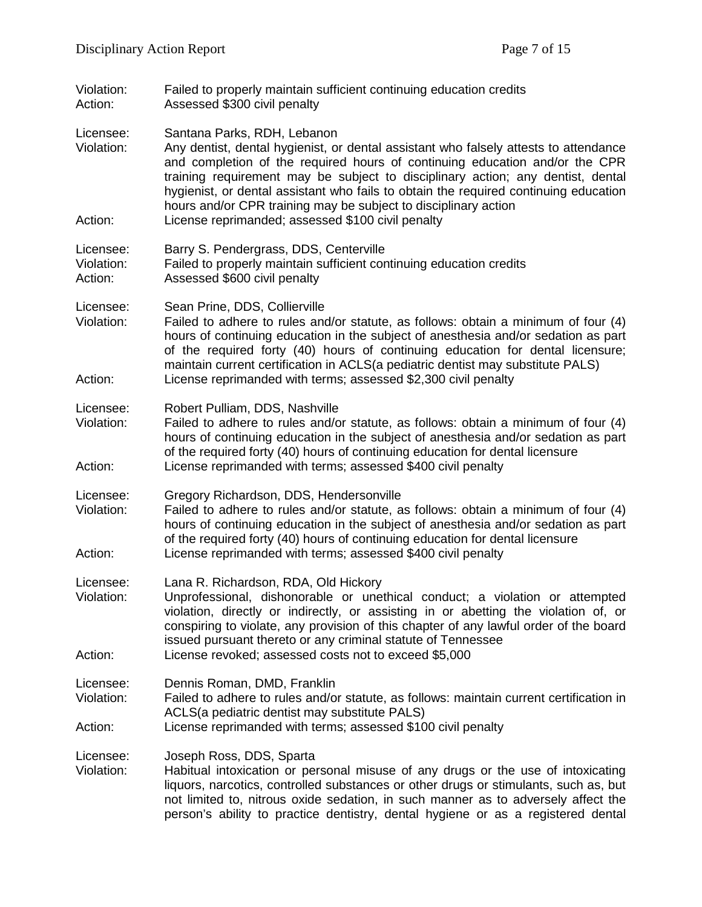- Violation: Failed to properly maintain sufficient continuing education credits<br>Action: Assessed \$300 civil penalty Assessed \$300 civil penalty
- Licensee: Santana Parks, RDH, Lebanon
- Violation: Any dentist, dental hygienist, or dental assistant who falsely attests to attendance and completion of the required hours of continuing education and/or the CPR training requirement may be subject to disciplinary action; any dentist, dental hygienist, or dental assistant who fails to obtain the required continuing education hours and/or CPR training may be subject to disciplinary action Action: License reprimanded; assessed \$100 civil penalty
- Licensee: Barry S. Pendergrass, DDS, Centerville
- Violation: Failed to properly maintain sufficient continuing education credits Action: Assessed \$600 civil penalty
- Licensee: Sean Prine, DDS, Collierville
- Violation: Failed to adhere to rules and/or statute, as follows: obtain a minimum of four (4) hours of continuing education in the subject of anesthesia and/or sedation as part of the required forty (40) hours of continuing education for dental licensure; maintain current certification in ACLS(a pediatric dentist may substitute PALS) Action: License reprimanded with terms; assessed \$2,300 civil penalty
- Licensee: Robert Pulliam, DDS, Nashville<br>Violation: Failed to adhere to rules and/o
- Failed to adhere to rules and/or statute, as follows: obtain a minimum of four (4) hours of continuing education in the subject of anesthesia and/or sedation as part of the required forty (40) hours of continuing education for dental licensure Action: License reprimanded with terms; assessed \$400 civil penalty
- Licensee: Gregory Richardson, DDS, Hendersonville
- Violation: Failed to adhere to rules and/or statute, as follows: obtain a minimum of four (4) hours of continuing education in the subject of anesthesia and/or sedation as part of the required forty (40) hours of continuing education for dental licensure Action: License reprimanded with terms; assessed \$400 civil penalty
- Licensee: Lana R. Richardson, RDA, Old Hickory
- Violation: Unprofessional, dishonorable or unethical conduct; a violation or attempted violation, directly or indirectly, or assisting in or abetting the violation of, or conspiring to violate, any provision of this chapter of any lawful order of the board issued pursuant thereto or any criminal statute of Tennessee Action: License revoked; assessed costs not to exceed \$5,000
- Licensee: Dennis Roman, DMD, Franklin
- Violation: Failed to adhere to rules and/or statute, as follows: maintain current certification in ACLS(a pediatric dentist may substitute PALS)
- Action: License reprimanded with terms; assessed \$100 civil penalty
- Licensee: Joseph Ross, DDS, Sparta<br>Violation: Habitual intoxication or per
- Habitual intoxication or personal misuse of any drugs or the use of intoxicating liquors, narcotics, controlled substances or other drugs or stimulants, such as, but not limited to, nitrous oxide sedation, in such manner as to adversely affect the person's ability to practice dentistry, dental hygiene or as a registered dental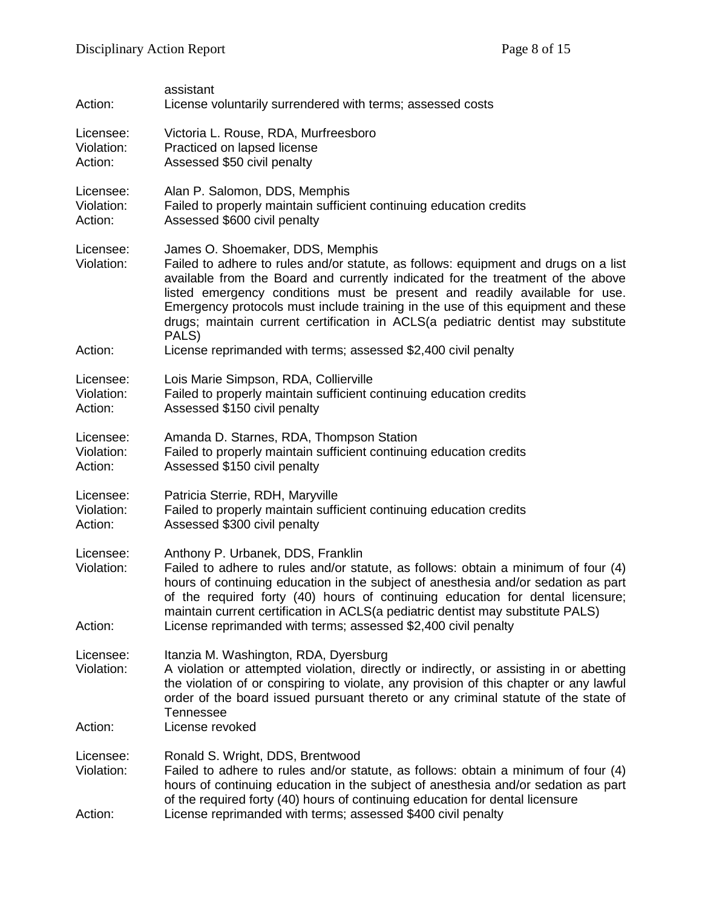| Action:                            | assistant<br>License voluntarily surrendered with terms; assessed costs                                                                                                                                                                                                                                                                                                                                                                                                   |
|------------------------------------|---------------------------------------------------------------------------------------------------------------------------------------------------------------------------------------------------------------------------------------------------------------------------------------------------------------------------------------------------------------------------------------------------------------------------------------------------------------------------|
| Licensee:<br>Violation:<br>Action: | Victoria L. Rouse, RDA, Murfreesboro<br>Practiced on lapsed license<br>Assessed \$50 civil penalty                                                                                                                                                                                                                                                                                                                                                                        |
| Licensee:<br>Violation:<br>Action: | Alan P. Salomon, DDS, Memphis<br>Failed to properly maintain sufficient continuing education credits<br>Assessed \$600 civil penalty                                                                                                                                                                                                                                                                                                                                      |
| Licensee:<br>Violation:            | James O. Shoemaker, DDS, Memphis<br>Failed to adhere to rules and/or statute, as follows: equipment and drugs on a list<br>available from the Board and currently indicated for the treatment of the above<br>listed emergency conditions must be present and readily available for use.<br>Emergency protocols must include training in the use of this equipment and these<br>drugs; maintain current certification in ACLS(a pediatric dentist may substitute<br>PALS) |
| Action:                            | License reprimanded with terms; assessed \$2,400 civil penalty                                                                                                                                                                                                                                                                                                                                                                                                            |
| Licensee:<br>Violation:<br>Action: | Lois Marie Simpson, RDA, Collierville<br>Failed to properly maintain sufficient continuing education credits<br>Assessed \$150 civil penalty                                                                                                                                                                                                                                                                                                                              |
| Licensee:<br>Violation:<br>Action: | Amanda D. Starnes, RDA, Thompson Station<br>Failed to properly maintain sufficient continuing education credits<br>Assessed \$150 civil penalty                                                                                                                                                                                                                                                                                                                           |
| Licensee:<br>Violation:<br>Action: | Patricia Sterrie, RDH, Maryville<br>Failed to properly maintain sufficient continuing education credits<br>Assessed \$300 civil penalty                                                                                                                                                                                                                                                                                                                                   |
| Licensee:<br>Violation:<br>Action: | Anthony P. Urbanek, DDS, Franklin<br>Failed to adhere to rules and/or statute, as follows: obtain a minimum of four (4)<br>hours of continuing education in the subject of anesthesia and/or sedation as part<br>of the required forty (40) hours of continuing education for dental licensure;<br>maintain current certification in ACLS(a pediatric dentist may substitute PALS)<br>License reprimanded with terms; assessed \$2,400 civil penalty                      |
| Licensee:<br>Violation:            | Itanzia M. Washington, RDA, Dyersburg<br>A violation or attempted violation, directly or indirectly, or assisting in or abetting<br>the violation of or conspiring to violate, any provision of this chapter or any lawful<br>order of the board issued pursuant thereto or any criminal statute of the state of<br>Tennessee                                                                                                                                             |
| Action:                            | License revoked                                                                                                                                                                                                                                                                                                                                                                                                                                                           |
| Licensee:<br>Violation:<br>Action: | Ronald S. Wright, DDS, Brentwood<br>Failed to adhere to rules and/or statute, as follows: obtain a minimum of four (4)<br>hours of continuing education in the subject of anesthesia and/or sedation as part<br>of the required forty (40) hours of continuing education for dental licensure<br>License reprimanded with terms; assessed \$400 civil penalty                                                                                                             |
|                                    |                                                                                                                                                                                                                                                                                                                                                                                                                                                                           |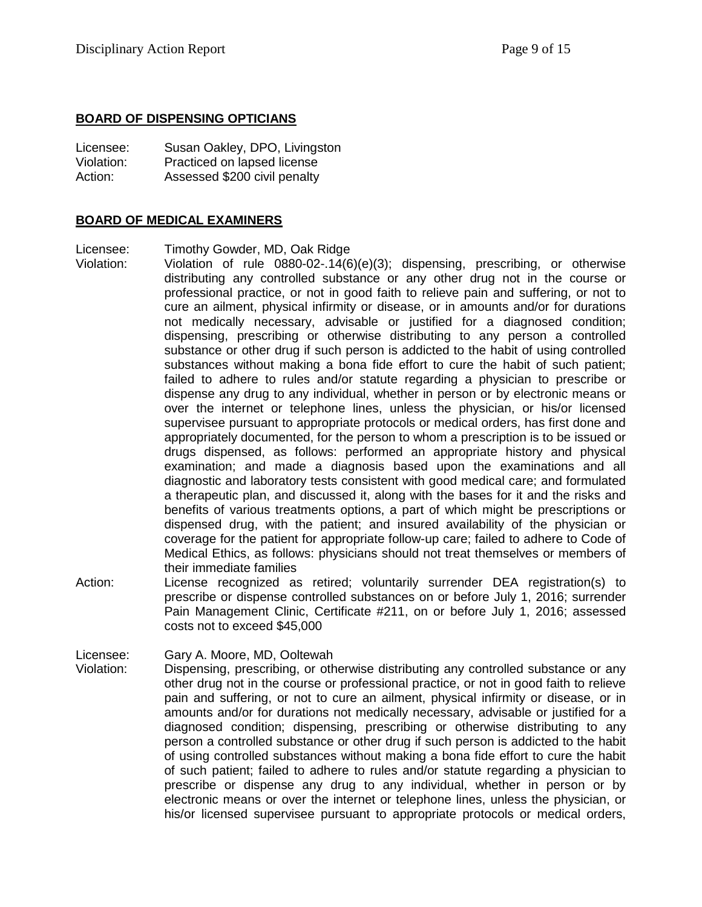### **BOARD OF DISPENSING OPTICIANS**

| Licensee:  | Susan Oakley, DPO, Livingston |
|------------|-------------------------------|
| Violation: | Practiced on lapsed license   |
| Action:    | Assessed \$200 civil penalty  |

## **BOARD OF MEDICAL EXAMINERS**

Licensee: Timothy Gowder, MD, Oak Ridge

- Violation: Violation of rule 0880-02-.14(6)(e)(3); dispensing, prescribing, or otherwise distributing any controlled substance or any other drug not in the course or professional practice, or not in good faith to relieve pain and suffering, or not to cure an ailment, physical infirmity or disease, or in amounts and/or for durations not medically necessary, advisable or justified for a diagnosed condition; dispensing, prescribing or otherwise distributing to any person a controlled substance or other drug if such person is addicted to the habit of using controlled substances without making a bona fide effort to cure the habit of such patient; failed to adhere to rules and/or statute regarding a physician to prescribe or dispense any drug to any individual, whether in person or by electronic means or over the internet or telephone lines, unless the physician, or his/or licensed supervisee pursuant to appropriate protocols or medical orders, has first done and appropriately documented, for the person to whom a prescription is to be issued or drugs dispensed, as follows: performed an appropriate history and physical examination; and made a diagnosis based upon the examinations and all diagnostic and laboratory tests consistent with good medical care; and formulated a therapeutic plan, and discussed it, along with the bases for it and the risks and benefits of various treatments options, a part of which might be prescriptions or dispensed drug, with the patient; and insured availability of the physician or coverage for the patient for appropriate follow-up care; failed to adhere to Code of Medical Ethics, as follows: physicians should not treat themselves or members of their immediate families
- Action: License recognized as retired; voluntarily surrender DEA registration(s) to prescribe or dispense controlled substances on or before July 1, 2016; surrender Pain Management Clinic, Certificate #211, on or before July 1, 2016; assessed costs not to exceed \$45,000

Licensee: Gary A. Moore, MD, Ooltewah

Violation: Dispensing, prescribing, or otherwise distributing any controlled substance or any other drug not in the course or professional practice, or not in good faith to relieve pain and suffering, or not to cure an ailment, physical infirmity or disease, or in amounts and/or for durations not medically necessary, advisable or justified for a diagnosed condition; dispensing, prescribing or otherwise distributing to any person a controlled substance or other drug if such person is addicted to the habit of using controlled substances without making a bona fide effort to cure the habit of such patient; failed to adhere to rules and/or statute regarding a physician to prescribe or dispense any drug to any individual, whether in person or by electronic means or over the internet or telephone lines, unless the physician, or his/or licensed supervisee pursuant to appropriate protocols or medical orders,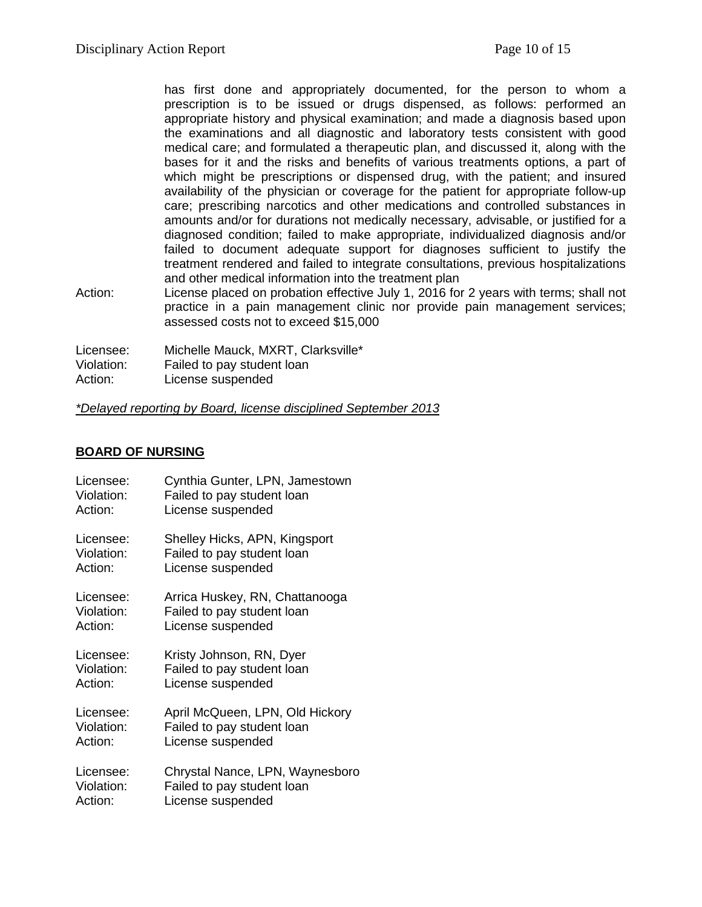has first done and appropriately documented, for the person to whom a prescription is to be issued or drugs dispensed, as follows: performed an appropriate history and physical examination; and made a diagnosis based upon the examinations and all diagnostic and laboratory tests consistent with good medical care; and formulated a therapeutic plan, and discussed it, along with the bases for it and the risks and benefits of various treatments options, a part of which might be prescriptions or dispensed drug, with the patient; and insured availability of the physician or coverage for the patient for appropriate follow-up care; prescribing narcotics and other medications and controlled substances in amounts and/or for durations not medically necessary, advisable, or justified for a diagnosed condition; failed to make appropriate, individualized diagnosis and/or failed to document adequate support for diagnoses sufficient to justify the treatment rendered and failed to integrate consultations, previous hospitalizations and other medical information into the treatment plan

Action: License placed on probation effective July 1, 2016 for 2 years with terms; shall not practice in a pain management clinic nor provide pain management services; assessed costs not to exceed \$15,000

Licensee: Michelle Mauck, MXRT, Clarksville\* Violation: Failed to pay student loan

Action: License suspended

#### *\*Delayed reporting by Board, license disciplined September 2013*

#### **BOARD OF NURSING**

| Licensee:  | Cynthia Gunter, LPN, Jamestown  |
|------------|---------------------------------|
| Violation: | Failed to pay student loan      |
| Action:    | License suspended               |
| Licensee:  | Shelley Hicks, APN, Kingsport   |
| Violation: | Failed to pay student loan      |
| Action:    | License suspended               |
| Licensee:  | Arrica Huskey, RN, Chattanooga  |
| Violation: | Failed to pay student loan      |
| Action:    | License suspended               |
| Licensee:  | Kristy Johnson, RN, Dyer        |
| Violation: | Failed to pay student loan      |
| Action:    | License suspended               |
| Licensee:  | April McQueen, LPN, Old Hickory |
| Violation: | Failed to pay student loan      |
| Action:    | License suspended               |
| Licensee:  | Chrystal Nance, LPN, Waynesboro |
| Violation: | Failed to pay student loan      |
| Action:    | License suspended               |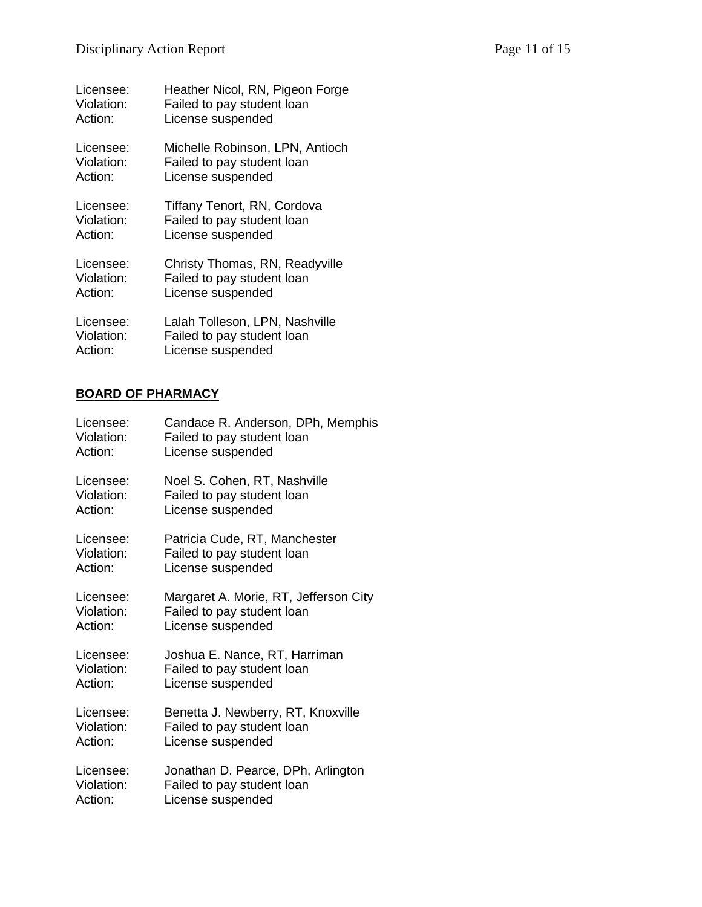| Licensee:  | Heather Nicol, RN, Pigeon Forge |
|------------|---------------------------------|
| Violation: | Failed to pay student loan      |
| Action:    | License suspended               |
| Licensee:  | Michelle Robinson, LPN, Antioch |
| Violation: | Failed to pay student loan      |
| Action:    | License suspended               |
| Licensee:  | Tiffany Tenort, RN, Cordova     |
| Violation: | Failed to pay student loan      |
| Action:    | License suspended               |
| Licensee:  | Christy Thomas, RN, Readyville  |
| Violation: | Failed to pay student loan      |
| Action:    | License suspended               |
| Licensee:  | Lalah Tolleson, LPN, Nashville  |
| Violation: | Failed to pay student loan      |

**BOARD OF PHARMACY**

Action: License suspended

| Licensee:  | Candace R. Anderson, DPh, Memphis     |
|------------|---------------------------------------|
| Violation: | Failed to pay student loan            |
| Action:    | License suspended                     |
| Licensee:  | Noel S. Cohen, RT, Nashville          |
| Violation: | Failed to pay student loan            |
| Action:    | License suspended                     |
| Licensee:  | Patricia Cude, RT, Manchester         |
| Violation: | Failed to pay student loan            |
| Action:    | License suspended                     |
| Licensee:  | Margaret A. Morie, RT, Jefferson City |
| Violation: | Failed to pay student loan            |
| Action:    | License suspended                     |
| Licensee:  | Joshua E. Nance, RT, Harriman         |
| Violation: | Failed to pay student loan            |
| Action:    | License suspended                     |
| Licensee:  | Benetta J. Newberry, RT, Knoxville    |
| Violation: | Failed to pay student loan            |
| Action:    | License suspended                     |
| Licensee:  | Jonathan D. Pearce, DPh, Arlington    |
| Violation: | Failed to pay student loan            |
| Action:    | License suspended                     |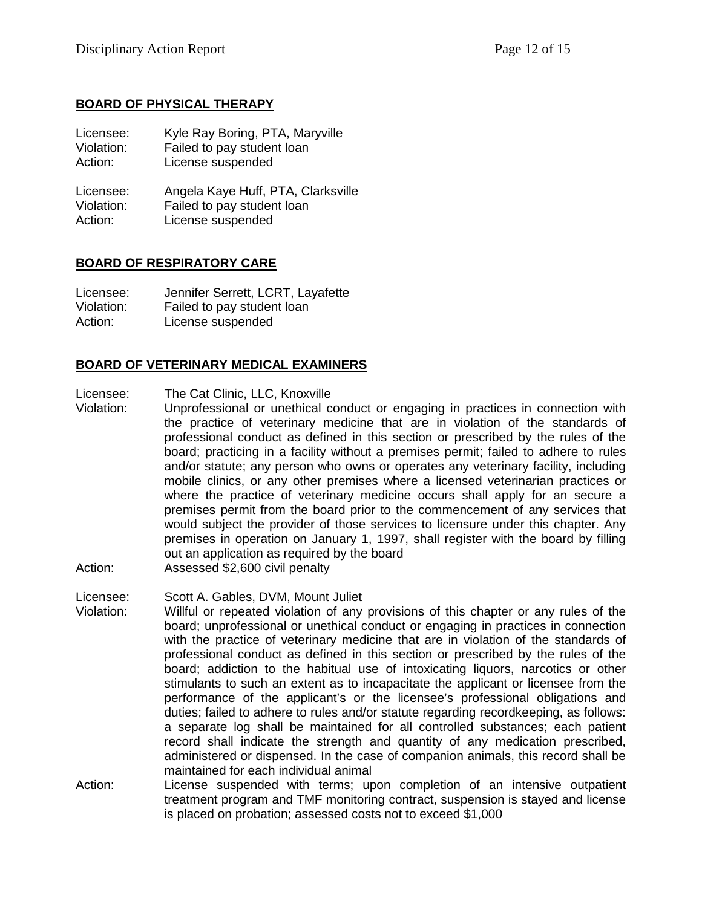# **BOARD OF PHYSICAL THERAPY**

| Licensee:  | Kyle Ray Boring, PTA, Maryville    |
|------------|------------------------------------|
| Violation: | Failed to pay student loan         |
| Action:    | License suspended                  |
| Licensee:  | Angela Kaye Huff, PTA, Clarksville |
| Violation: | Failed to pay student loan         |
| Action:    | License suspended                  |

## **BOARD OF RESPIRATORY CARE**

Licensee: Jennifer Serrett, LCRT, Layafette Violation: Failed to pay student loan Action: License suspended

# **BOARD OF VETERINARY MEDICAL EXAMINERS**

Licensee: The Cat Clinic, LLC, Knoxville

- Violation: Unprofessional or unethical conduct or engaging in practices in connection with the practice of veterinary medicine that are in violation of the standards of professional conduct as defined in this section or prescribed by the rules of the board; practicing in a facility without a premises permit; failed to adhere to rules and/or statute; any person who owns or operates any veterinary facility, including mobile clinics, or any other premises where a licensed veterinarian practices or where the practice of veterinary medicine occurs shall apply for an secure a premises permit from the board prior to the commencement of any services that would subject the provider of those services to licensure under this chapter. Any premises in operation on January 1, 1997, shall register with the board by filling out an application as required by the board
- Action: Assessed \$2,600 civil penalty
- Licensee: Scott A. Gables, DVM, Mount Juliet
- Violation: Willful or repeated violation of any provisions of this chapter or any rules of the board; unprofessional or unethical conduct or engaging in practices in connection with the practice of veterinary medicine that are in violation of the standards of professional conduct as defined in this section or prescribed by the rules of the board; addiction to the habitual use of intoxicating liquors, narcotics or other stimulants to such an extent as to incapacitate the applicant or licensee from the performance of the applicant's or the licensee's professional obligations and duties; failed to adhere to rules and/or statute regarding recordkeeping, as follows: a separate log shall be maintained for all controlled substances; each patient record shall indicate the strength and quantity of any medication prescribed, administered or dispensed. In the case of companion animals, this record shall be maintained for each individual animal
- Action: License suspended with terms; upon completion of an intensive outpatient treatment program and TMF monitoring contract, suspension is stayed and license is placed on probation; assessed costs not to exceed \$1,000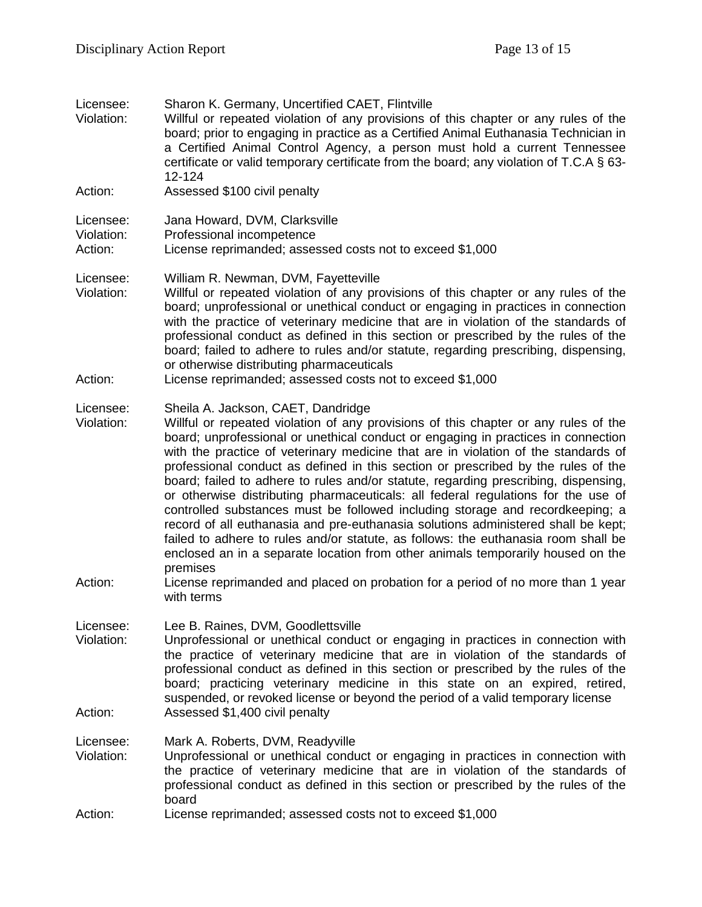| Licensee:<br>Violation:            | Sharon K. Germany, Uncertified CAET, Flintville<br>Willful or repeated violation of any provisions of this chapter or any rules of the<br>board; prior to engaging in practice as a Certified Animal Euthanasia Technician in<br>a Certified Animal Control Agency, a person must hold a current Tennessee<br>certificate or valid temporary certificate from the board; any violation of T.C.A § 63-<br>12-124                                                                                                                                                                                                                                                                                                                                                                                                                                                                                                                                                                                                     |
|------------------------------------|---------------------------------------------------------------------------------------------------------------------------------------------------------------------------------------------------------------------------------------------------------------------------------------------------------------------------------------------------------------------------------------------------------------------------------------------------------------------------------------------------------------------------------------------------------------------------------------------------------------------------------------------------------------------------------------------------------------------------------------------------------------------------------------------------------------------------------------------------------------------------------------------------------------------------------------------------------------------------------------------------------------------|
| Action:                            | Assessed \$100 civil penalty                                                                                                                                                                                                                                                                                                                                                                                                                                                                                                                                                                                                                                                                                                                                                                                                                                                                                                                                                                                        |
| Licensee:<br>Violation:<br>Action: | Jana Howard, DVM, Clarksville<br>Professional incompetence<br>License reprimanded; assessed costs not to exceed \$1,000                                                                                                                                                                                                                                                                                                                                                                                                                                                                                                                                                                                                                                                                                                                                                                                                                                                                                             |
| Licensee:<br>Violation:            | William R. Newman, DVM, Fayetteville<br>Willful or repeated violation of any provisions of this chapter or any rules of the<br>board; unprofessional or unethical conduct or engaging in practices in connection<br>with the practice of veterinary medicine that are in violation of the standards of<br>professional conduct as defined in this section or prescribed by the rules of the<br>board; failed to adhere to rules and/or statute, regarding prescribing, dispensing,<br>or otherwise distributing pharmaceuticals                                                                                                                                                                                                                                                                                                                                                                                                                                                                                     |
| Action:                            | License reprimanded; assessed costs not to exceed \$1,000                                                                                                                                                                                                                                                                                                                                                                                                                                                                                                                                                                                                                                                                                                                                                                                                                                                                                                                                                           |
| Licensee:<br>Violation:<br>Action: | Sheila A. Jackson, CAET, Dandridge<br>Willful or repeated violation of any provisions of this chapter or any rules of the<br>board; unprofessional or unethical conduct or engaging in practices in connection<br>with the practice of veterinary medicine that are in violation of the standards of<br>professional conduct as defined in this section or prescribed by the rules of the<br>board; failed to adhere to rules and/or statute, regarding prescribing, dispensing,<br>or otherwise distributing pharmaceuticals: all federal regulations for the use of<br>controlled substances must be followed including storage and recordkeeping; a<br>record of all euthanasia and pre-euthanasia solutions administered shall be kept;<br>failed to adhere to rules and/or statute, as follows: the euthanasia room shall be<br>enclosed an in a separate location from other animals temporarily housed on the<br>premises<br>License reprimanded and placed on probation for a period of no more than 1 year |
| Licensee:<br>Violation:            | with terms<br>Lee B. Raines, DVM, Goodlettsville<br>Unprofessional or unethical conduct or engaging in practices in connection with<br>the practice of veterinary medicine that are in violation of the standards of<br>professional conduct as defined in this section or prescribed by the rules of the<br>board; practicing veterinary medicine in this state on an expired, retired,<br>suspended, or revoked license or beyond the period of a valid temporary license                                                                                                                                                                                                                                                                                                                                                                                                                                                                                                                                         |
| Action:                            | Assessed \$1,400 civil penalty                                                                                                                                                                                                                                                                                                                                                                                                                                                                                                                                                                                                                                                                                                                                                                                                                                                                                                                                                                                      |
| Licensee:<br>Violation:            | Mark A. Roberts, DVM, Readyville<br>Unprofessional or unethical conduct or engaging in practices in connection with<br>the practice of veterinary medicine that are in violation of the standards of<br>professional conduct as defined in this section or prescribed by the rules of the<br>board                                                                                                                                                                                                                                                                                                                                                                                                                                                                                                                                                                                                                                                                                                                  |
| Action:                            | License reprimanded; assessed costs not to exceed \$1,000                                                                                                                                                                                                                                                                                                                                                                                                                                                                                                                                                                                                                                                                                                                                                                                                                                                                                                                                                           |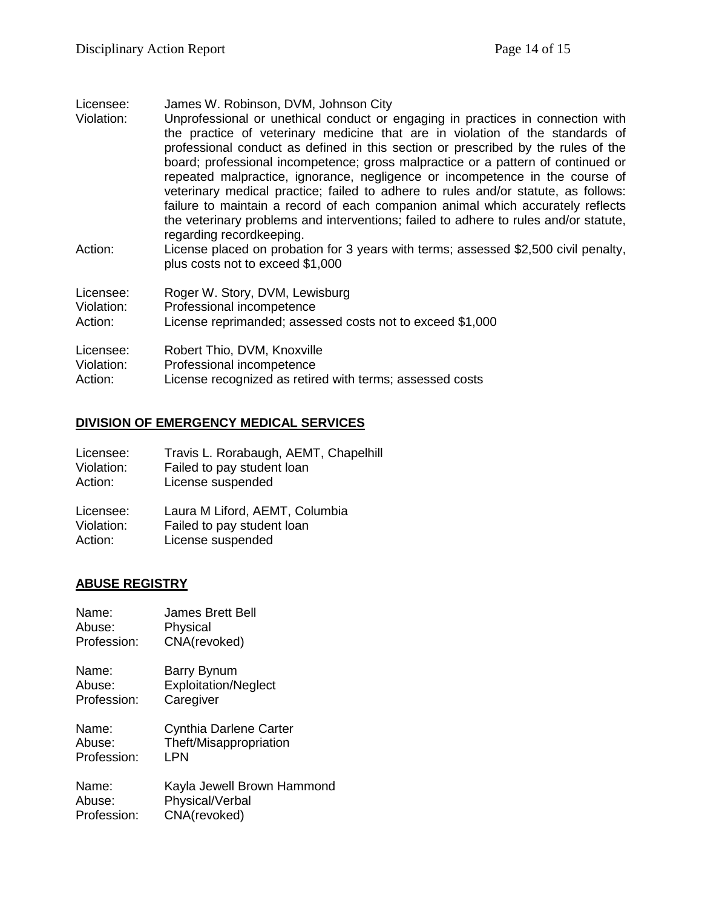Licensee: James W. Robinson, DVM, Johnson City Violation: Unprofessional or unethical conduct or engaging in practices in connection with the practice of veterinary medicine that are in violation of the standards of professional conduct as defined in this section or prescribed by the rules of the board; professional incompetence; gross malpractice or a pattern of continued or repeated malpractice, ignorance, negligence or incompetence in the course of veterinary medical practice; failed to adhere to rules and/or statute, as follows: failure to maintain a record of each companion animal which accurately reflects the veterinary problems and interventions; failed to adhere to rules and/or statute, regarding recordkeeping. Action: License placed on probation for 3 years with terms; assessed \$2,500 civil penalty, plus costs not to exceed \$1,000 Licensee: Roger W. Story, DVM, Lewisburg Violation: Professional incompetence Action: License reprimanded; assessed costs not to exceed \$1,000 Licensee: Robert Thio, DVM, Knoxville Violation: Professional incompetence

# **DIVISION OF EMERGENCY MEDICAL SERVICES**

Action: License recognized as retired with terms; assessed costs

| Licensee:  | Travis L. Rorabaugh, AEMT, Chapelhill |
|------------|---------------------------------------|
| Violation: | Failed to pay student loan            |
| Action:    | License suspended                     |
| Licensee:  | Laura M Liford, AEMT, Columbia        |
| Violation: | Failed to pay student loan            |
| Action:    | License suspended                     |

# **ABUSE REGISTRY**

| Name:       | James Brett Bell            |
|-------------|-----------------------------|
| Abuse:      | Physical                    |
| Profession: | CNA(revoked)                |
| Name:       | Barry Bynum                 |
| Abuse:      | <b>Exploitation/Neglect</b> |
| Profession: | Caregiver                   |
| Name:       | Cynthia Darlene Carter      |
| Abuse:      | Theft/Misappropriation      |
| Profession: | LPN                         |
| Name:       | Kayla Jewell Brown Hammond  |
| Abuse:      | Physical/Verbal             |
| Profession: | CNA(revoked)                |